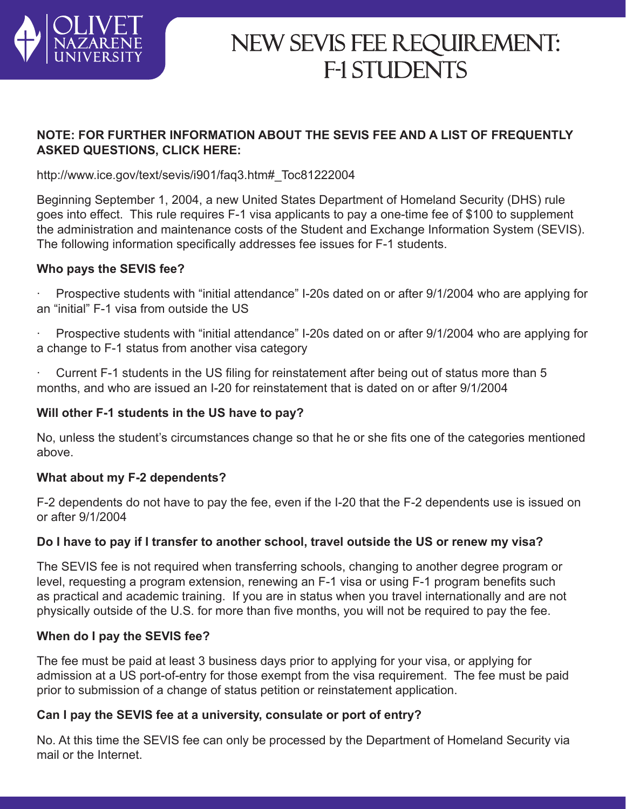

# NEW SEVIS FEE REQUIREMENT: F-1 STUDENTS

# **NOTE: FOR FURTHER INFORMATION ABOUT THE SEVIS FEE AND A LIST OF FREQUENTLY ASKED QUESTIONS, CLICK HERE:**

http://www.ice.gov/text/sevis/i901/faq3.htm#\_Toc81222004

Beginning September 1, 2004, a new United States Department of Homeland Security (DHS) rule goes into effect. This rule requires F-1 visa applicants to pay a one-time fee of \$100 to supplement the administration and maintenance costs of the Student and Exchange Information System (SEVIS). The following information specifically addresses fee issues for F-1 students.

# **Who pays the SEVIS fee?**

Prospective students with "initial attendance" I-20s dated on or after 9/1/2004 who are applying for an "initial" F-1 visa from outside the US

Prospective students with "initial attendance" I-20s dated on or after 9/1/2004 who are applying for a change to F-1 status from another visa category

 $\cdot$  Current F-1 students in the US filing for reinstatement after being out of status more than 5 months, and who are issued an I-20 for reinstatement that is dated on or after 9/1/2004

# **Will other F-1 students in the US have to pay?**

No, unless the student's circumstances change so that he or she fits one of the categories mentioned above.

# **What about my F-2 dependents?**

F-2 dependents do not have to pay the fee, even if the I-20 that the F-2 dependents use is issued on or after 9/1/2004

# **Do I have to pay if I transfer to another school, travel outside the US or renew my visa?**

The SEVIS fee is not required when transferring schools, changing to another degree program or level, requesting a program extension, renewing an F-1 visa or using F-1 program benefits such as practical and academic training. If you are in status when you travel internationally and are not physically outside of the U.S. for more than five months, you will not be required to pay the fee.

#### **When do I pay the SEVIS fee?**

The fee must be paid at least 3 business days prior to applying for your visa, or applying for admission at a US port-of-entry for those exempt from the visa requirement. The fee must be paid prior to submission of a change of status petition or reinstatement application.

# **Can I pay the SEVIS fee at a university, consulate or port of entry?**

No. At this time the SEVIS fee can only be processed by the Department of Homeland Security via mail or the Internet.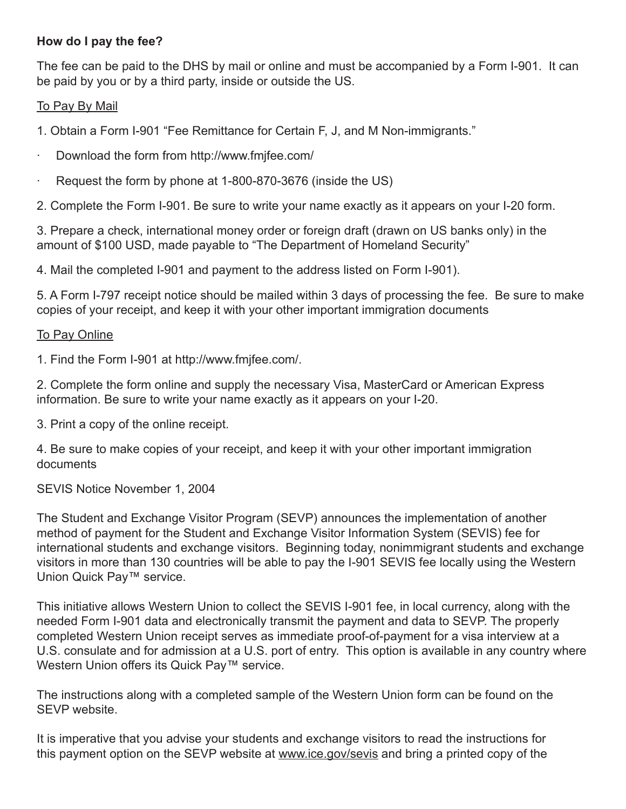# **How do I pay the fee?**

The fee can be paid to the DHS by mail or online and must be accompanied by a Form I-901. It can be paid by you or by a third party, inside or outside the US.

### To Pay By Mail

1. Obtain a Form I-901 "Fee Remittance for Certain F, J, and M Non-immigrants."

- · Download the form from http://www.fmjfee.com/
- Request the form by phone at 1-800-870-3676 (inside the US)

2. Complete the Form I-901. Be sure to write your name exactly as it appears on your I-20 form.

3. Prepare a check, international money order or foreign draft (drawn on US banks only) in the amount of \$100 USD, made payable to "The Department of Homeland Security"

4. Mail the completed I-901 and payment to the address listed on Form I-901).

5. A Form I-797 receipt notice should be mailed within 3 days of processing the fee. Be sure to make copies of your receipt, and keep it with your other important immigration documents

#### **To Pay Online**

1. Find the Form I-901 at http://www.fmjfee.com/.

2. Complete the form online and supply the necessary Visa, MasterCard or American Express information. Be sure to write your name exactly as it appears on your I-20.

3. Print a copy of the online receipt.

4. Be sure to make copies of your receipt, and keep it with your other important immigration documents

SEVIS Notice November 1, 2004

The Student and Exchange Visitor Program (SEVP) announces the implementation of another method of payment for the Student and Exchange Visitor Information System (SEVIS) fee for international students and exchange visitors. Beginning today, nonimmigrant students and exchange visitors in more than 130 countries will be able to pay the I-901 SEVIS fee locally using the Western Union Quick Pay™ service.

This initiative allows Western Union to collect the SEVIS I-901 fee, in local currency, along with the needed Form I-901 data and electronically transmit the payment and data to SEVP. The properly completed Western Union receipt serves as immediate proof-of-payment for a visa interview at a U.S. consulate and for admission at a U.S. port of entry. This option is available in any country where Western Union offers its Quick Pay™ service.

The instructions along with a completed sample of the Western Union form can be found on the SEVP website.

It is imperative that you advise your students and exchange visitors to read the instructions for this payment option on the SEVP website at www.ice.gov/sevis and bring a printed copy of the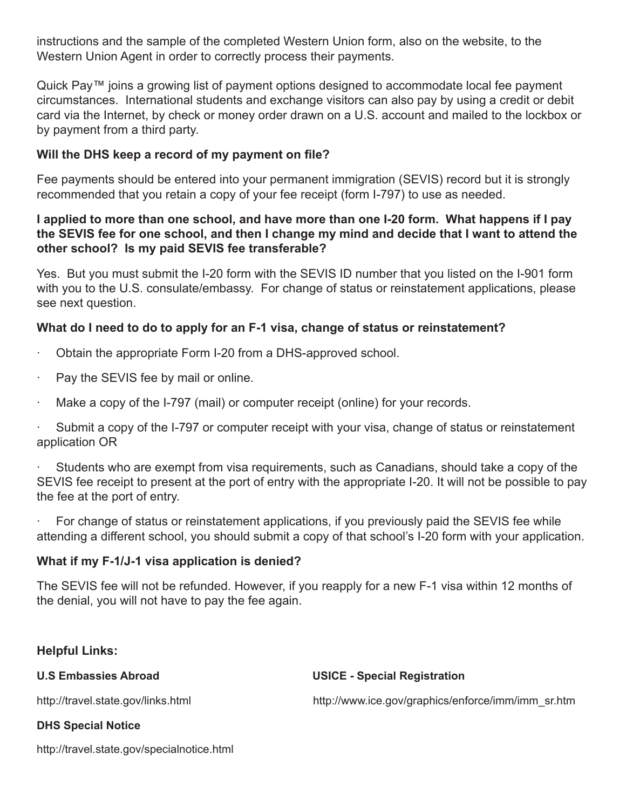instructions and the sample of the completed Western Union form, also on the website, to the Western Union Agent in order to correctly process their payments.

Quick Pay™ joins a growing list of payment options designed to accommodate local fee payment circumstances. International students and exchange visitors can also pay by using a credit or debit card via the Internet, by check or money order drawn on a U.S. account and mailed to the lockbox or by payment from a third party.

# **Will the DHS keep a record of my payment on file?**

Fee payments should be entered into your permanent immigration (SEVIS) record but it is strongly recommended that you retain a copy of your fee receipt (form I-797) to use as needed.

### **I applied to more than one school, and have more than one I-20 form. What happens if I pay the SEVIS fee for one school, and then I change my mind and decide that I want to attend the other school? Is my paid SEVIS fee transferable?**

Yes. But you must submit the I-20 form with the SEVIS ID number that you listed on the I-901 form with you to the U.S. consulate/embassy. For change of status or reinstatement applications, please see next question.

# **What do I need to do to apply for an F-1 visa, change of status or reinstatement?**

- · Obtain the appropriate Form I-20 from a DHS-approved school.
- Pay the SEVIS fee by mail or online.
- Make a copy of the I-797 (mail) or computer receipt (online) for your records.

Submit a copy of the I-797 or computer receipt with your visa, change of status or reinstatement application OR

· Students who are exempt from visa requirements, such as Canadians, should take a copy of the SEVIS fee receipt to present at the port of entry with the appropriate I-20. It will not be possible to pay the fee at the port of entry.

For change of status or reinstatement applications, if you previously paid the SEVIS fee while attending a different school, you should submit a copy of that school's I-20 form with your application.

# **What if my F-1/J-1 visa application is denied?**

The SEVIS fee will not be refunded. However, if you reapply for a new F-1 visa within 12 months of the denial, you will not have to pay the fee again.

# **Helpful Links:**

**U.S Embassies Abroad USICE - Special Registration** http://travel.state.gov/links.html http://www.ice.gov/graphics/enforce/imm/imm\_sr.htm **DHS Special Notice** 

http://travel.state.gov/specialnotice.html